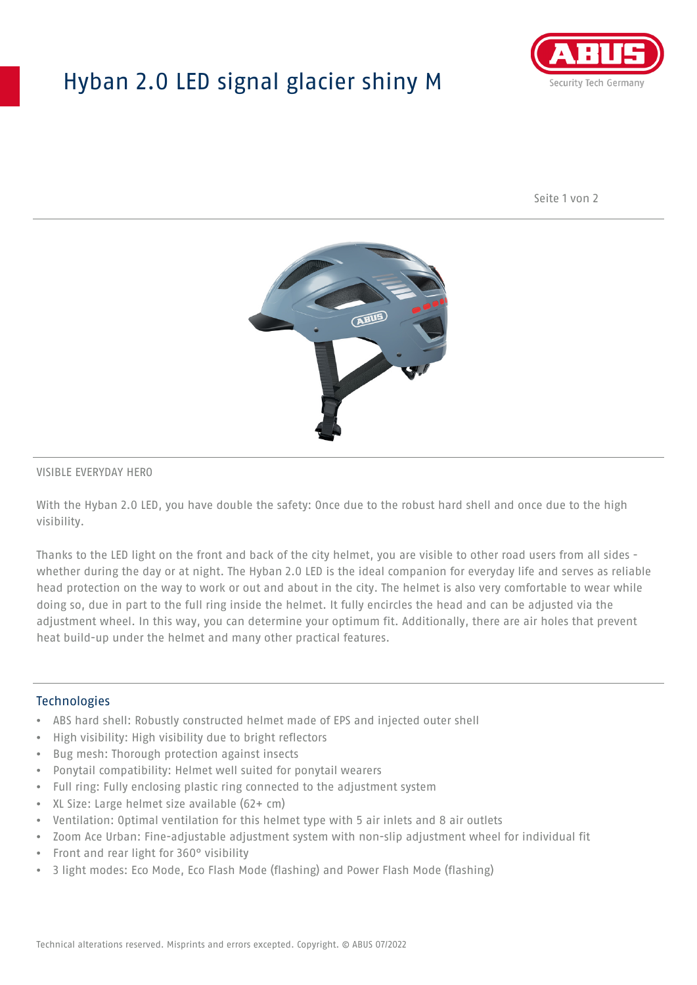## Hyban 2.0 LED signal glacier shiny M



Seite 1 von 2



#### VISIBLE EVERYDAY HERO

With the Hyban 2.0 LED, you have double the safety: Once due to the robust hard shell and once due to the high visibility.

Thanks to the LED light on the front and back of the city helmet, you are visible to other road users from all sides whether during the day or at night. The Hyban 2.0 LED is the ideal companion for everyday life and serves as reliable head protection on the way to work or out and about in the city. The helmet is also very comfortable to wear while doing so, due in part to the full ring inside the helmet. It fully encircles the head and can be adjusted via the adjustment wheel. In this way, you can determine your optimum fit. Additionally, there are air holes that prevent heat build-up under the helmet and many other practical features.

#### Technologies

- ABS hard shell: Robustly constructed helmet made of EPS and injected outer shell
- High visibility: High visibility due to bright reflectors
- Bug mesh: Thorough protection against insects
- Ponytail compatibility: Helmet well suited for ponytail wearers
- Full ring: Fully enclosing plastic ring connected to the adjustment system
- XL Size: Large helmet size available (62+ cm)
- Ventilation: Optimal ventilation for this helmet type with 5 air inlets and 8 air outlets
- Zoom Ace Urban: Fine-adjustable adjustment system with non-slip adjustment wheel for individual fit
- Front and rear light for 360° visibility
- 3 light modes: Eco Mode, Eco Flash Mode (flashing) and Power Flash Mode (flashing)